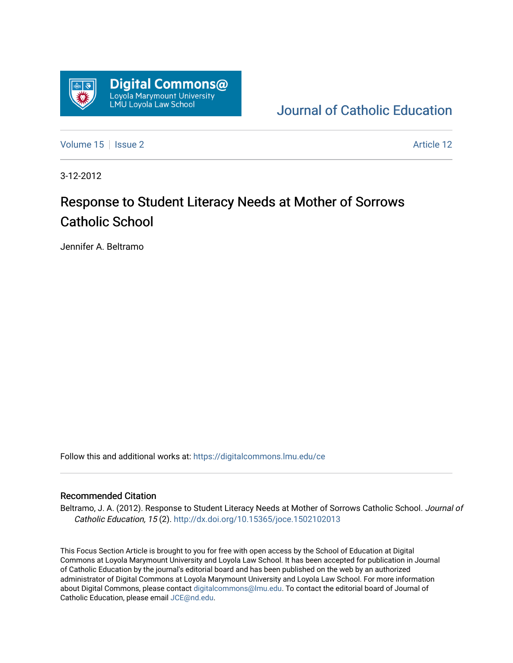

[Journal of Catholic Education](https://digitalcommons.lmu.edu/ce) 

[Volume 15](https://digitalcommons.lmu.edu/ce/vol15) | [Issue 2](https://digitalcommons.lmu.edu/ce/vol15/iss2) Article 12

3-12-2012

## Response to Student Literacy Needs at Mother of Sorrows Catholic School

Jennifer A. Beltramo

Follow this and additional works at: [https://digitalcommons.lmu.edu/ce](https://digitalcommons.lmu.edu/ce?utm_source=digitalcommons.lmu.edu%2Fce%2Fvol15%2Fiss2%2F12&utm_medium=PDF&utm_campaign=PDFCoverPages)

#### Recommended Citation

Beltramo, J. A. (2012). Response to Student Literacy Needs at Mother of Sorrows Catholic School. Journal of Catholic Education, 15 (2). <http://dx.doi.org/10.15365/joce.1502102013>

This Focus Section Article is brought to you for free with open access by the School of Education at Digital Commons at Loyola Marymount University and Loyola Law School. It has been accepted for publication in Journal of Catholic Education by the journal's editorial board and has been published on the web by an authorized administrator of Digital Commons at Loyola Marymount University and Loyola Law School. For more information about Digital Commons, please contact [digitalcommons@lmu.edu](mailto:digitalcommons@lmu.edu). To contact the editorial board of Journal of Catholic Education, please email [JCE@nd.edu.](mailto:JCE@nd.edu)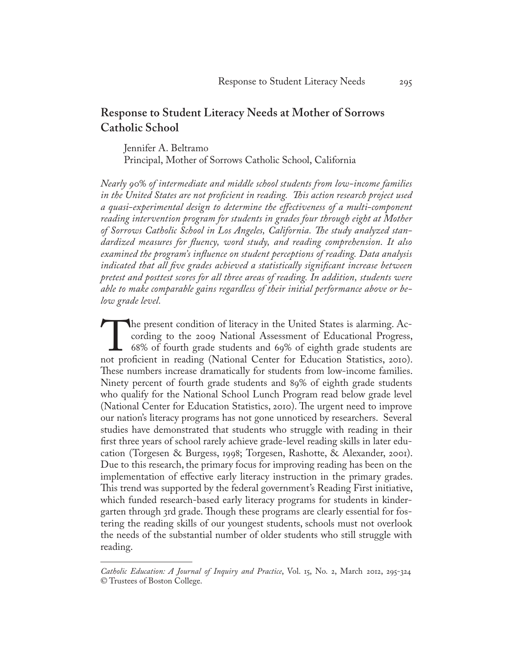#### **Response to Student Literacy Needs at Mother of Sorrows Catholic School**

Jennifer A. Beltramo Principal, Mother of Sorrows Catholic School, California

*Nearly 90% of intermediate and middle school students from low-income families in the United States are not proficient in reading. This action research project used a quasi-experimental design to determine the effectiveness of a multi-component reading intervention program for students in grades four through eight at Mother of Sorrows Catholic School in Los Angeles, California. The study analyzed standardized measures for fluency, word study, and reading comprehension. It also examined the program's influence on student perceptions of reading. Data analysis indicated that all five grades achieved a statistically significant increase between pretest and posttest scores for all three areas of reading. In addition, students were able to make comparable gains regardless of their initial performance above or below grade level.*

The present condition of literacy in the United States is alarming. According to the 2009 National Assessment of Educational Progress, 68% of fourth grade students and 69% of eighth grade students are not proficient in rea cording to the 2009 National Assessment of Educational Progress, 68% of fourth grade students and 69% of eighth grade students are not proficient in reading (National Center for Education Statistics, 2010). These numbers increase dramatically for students from low-income families. Ninety percent of fourth grade students and 89% of eighth grade students who qualify for the National School Lunch Program read below grade level (National Center for Education Statistics, 2010). The urgent need to improve our nation's literacy programs has not gone unnoticed by researchers. Several studies have demonstrated that students who struggle with reading in their first three years of school rarely achieve grade-level reading skills in later education (Torgesen & Burgess, 1998; Torgesen, Rashotte, & Alexander, 2001). Due to this research, the primary focus for improving reading has been on the implementation of effective early literacy instruction in the primary grades. This trend was supported by the federal government's Reading First initiative, which funded research-based early literacy programs for students in kindergarten through 3rd grade. Though these programs are clearly essential for fostering the reading skills of our youngest students, schools must not overlook the needs of the substantial number of older students who still struggle with reading.

*Catholic Education: A Journal of Inquiry and Practice*, Vol. 15, No. 2, March 2012, 295-324 © Trustees of Boston College.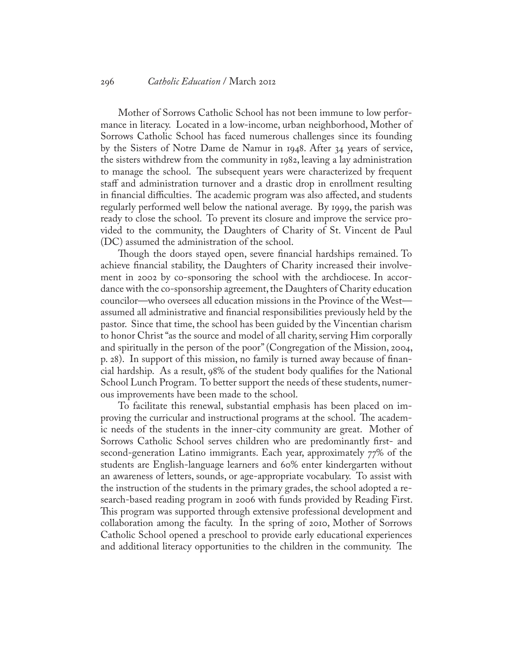#### 296 *Catholic Education* / March 2012

Mother of Sorrows Catholic School has not been immune to low performance in literacy. Located in a low-income, urban neighborhood, Mother of Sorrows Catholic School has faced numerous challenges since its founding by the Sisters of Notre Dame de Namur in 1948. After 34 years of service, the sisters withdrew from the community in 1982, leaving a lay administration to manage the school. The subsequent years were characterized by frequent staff and administration turnover and a drastic drop in enrollment resulting in financial difficulties. The academic program was also affected, and students regularly performed well below the national average. By 1999, the parish was ready to close the school. To prevent its closure and improve the service provided to the community, the Daughters of Charity of St. Vincent de Paul (DC) assumed the administration of the school.

Though the doors stayed open, severe financial hardships remained. To achieve financial stability, the Daughters of Charity increased their involvement in 2002 by co-sponsoring the school with the archdiocese. In accordance with the co-sponsorship agreement, the Daughters of Charity education councilor—who oversees all education missions in the Province of the West assumed all administrative and financial responsibilities previously held by the pastor. Since that time, the school has been guided by the Vincentian charism to honor Christ "as the source and model of all charity, serving Him corporally and spiritually in the person of the poor" (Congregation of the Mission, 2004, p. 28). In support of this mission, no family is turned away because of financial hardship. As a result, 98% of the student body qualifies for the National School Lunch Program. To better support the needs of these students, numerous improvements have been made to the school.

To facilitate this renewal, substantial emphasis has been placed on improving the curricular and instructional programs at the school. The academic needs of the students in the inner-city community are great. Mother of Sorrows Catholic School serves children who are predominantly first- and second-generation Latino immigrants. Each year, approximately 77% of the students are English-language learners and 60% enter kindergarten without an awareness of letters, sounds, or age-appropriate vocabulary. To assist with the instruction of the students in the primary grades, the school adopted a research-based reading program in 2006 with funds provided by Reading First. This program was supported through extensive professional development and collaboration among the faculty. In the spring of 2010, Mother of Sorrows Catholic School opened a preschool to provide early educational experiences and additional literacy opportunities to the children in the community. The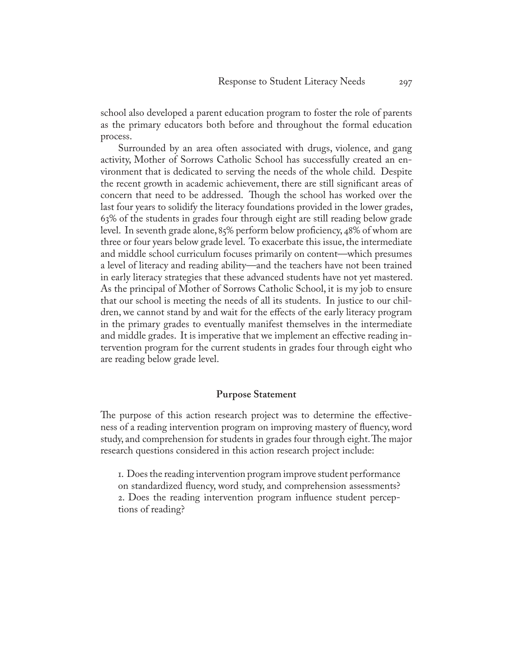school also developed a parent education program to foster the role of parents as the primary educators both before and throughout the formal education process.

Surrounded by an area often associated with drugs, violence, and gang activity, Mother of Sorrows Catholic School has successfully created an environment that is dedicated to serving the needs of the whole child. Despite the recent growth in academic achievement, there are still significant areas of concern that need to be addressed. Though the school has worked over the last four years to solidify the literacy foundations provided in the lower grades, 63% of the students in grades four through eight are still reading below grade level. In seventh grade alone, 85% perform below proficiency, 48% of whom are three or four years below grade level. To exacerbate this issue, the intermediate and middle school curriculum focuses primarily on content—which presumes a level of literacy and reading ability—and the teachers have not been trained in early literacy strategies that these advanced students have not yet mastered. As the principal of Mother of Sorrows Catholic School, it is my job to ensure that our school is meeting the needs of all its students. In justice to our children, we cannot stand by and wait for the effects of the early literacy program in the primary grades to eventually manifest themselves in the intermediate and middle grades. It is imperative that we implement an effective reading intervention program for the current students in grades four through eight who are reading below grade level.

#### **Purpose Statement**

The purpose of this action research project was to determine the effectiveness of a reading intervention program on improving mastery of fluency, word study, and comprehension for students in grades four through eight. The major research questions considered in this action research project include:

1. Does the reading intervention program improve student performance on standardized fluency, word study, and comprehension assessments? 2. Does the reading intervention program influence student perceptions of reading?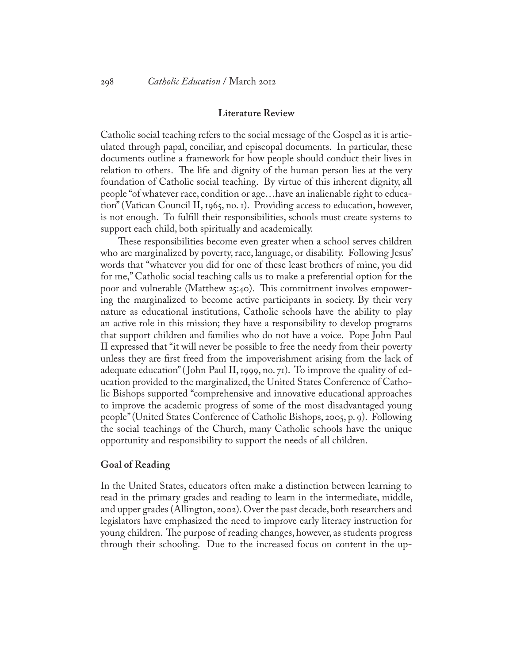#### **Literature Review**

Catholic social teaching refers to the social message of the Gospel as it is articulated through papal, conciliar, and episcopal documents. In particular, these documents outline a framework for how people should conduct their lives in relation to others. The life and dignity of the human person lies at the very foundation of Catholic social teaching. By virtue of this inherent dignity, all people "of whatever race, condition or age…have an inalienable right to education" (Vatican Council II, 1965, no. 1). Providing access to education, however, is not enough. To fulfill their responsibilities, schools must create systems to support each child, both spiritually and academically.

These responsibilities become even greater when a school serves children who are marginalized by poverty, race, language, or disability. Following Jesus' words that "whatever you did for one of these least brothers of mine, you did for me," Catholic social teaching calls us to make a preferential option for the poor and vulnerable (Matthew 25:40). This commitment involves empowering the marginalized to become active participants in society. By their very nature as educational institutions, Catholic schools have the ability to play an active role in this mission; they have a responsibility to develop programs that support children and families who do not have a voice. Pope John Paul II expressed that "it will never be possible to free the needy from their poverty unless they are first freed from the impoverishment arising from the lack of adequate education" ( John Paul II, 1999, no. 71). To improve the quality of education provided to the marginalized, the United States Conference of Catholic Bishops supported "comprehensive and innovative educational approaches to improve the academic progress of some of the most disadvantaged young people" (United States Conference of Catholic Bishops, 2005, p. 9). Following the social teachings of the Church, many Catholic schools have the unique opportunity and responsibility to support the needs of all children.

#### **Goal of Reading**

In the United States, educators often make a distinction between learning to read in the primary grades and reading to learn in the intermediate, middle, and upper grades (Allington, 2002). Over the past decade, both researchers and legislators have emphasized the need to improve early literacy instruction for young children. The purpose of reading changes, however, as students progress through their schooling. Due to the increased focus on content in the up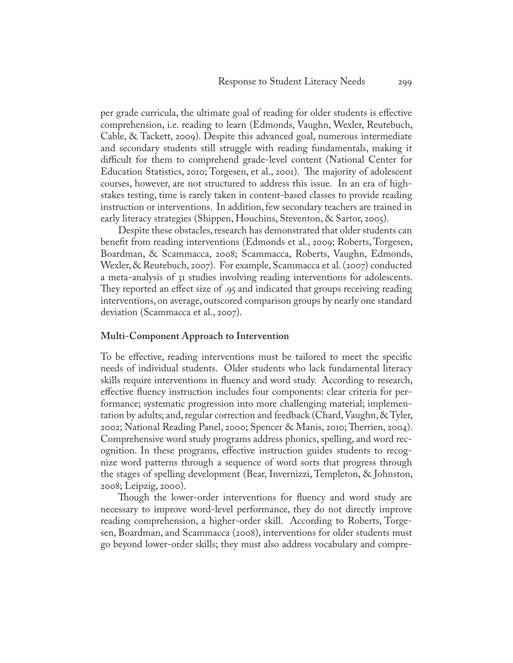per grade curricula, the ultimate goal of reading for older students is effective comprehension, i.e. reading to learn (Edmonds, Vaughn, Wexler, Reutebuch, Cable, & Tackett, 2009). Despite this advanced goal, numerous intermediate and secondary students still struggle with reading fundamentals, making it difficult for them to comprehend grade-level content (National Center for Education Statistics, 2010; Torgesen, et al., 2001). The majority of adolescent courses, however, are not structured to address this issue. In an era of highstakes testing, time is rarely taken in content-based classes to provide reading instruction or interventions. In addition, few secondary teachers are trained in early literacy strategies (Shippen, Houchins, Steventon, & Sartor, 2005).

Despite these obstacles, research has demonstrated that older students can benefit from reading interventions (Edmonds et al., 2009; Roberts, Torgesen, Boardman, & Scammacca, 2008; Scammacca, Roberts, Vaughn, Edmonds, Wexler, & Reutebuch, 2007). For example, Scammacca et al. (2007) conducted a meta-analysis of 31 studies involving reading interventions for adolescents. They reported an effect size of .95 and indicated that groups receiving reading interventions, on average, outscored comparison groups by nearly one standard deviation (Scammacca et al., 2007).

#### **Multi-Component Approach to Intervention**

To be effective, reading interventions must be tailored to meet the specific needs of individual students. Older students who lack fundamental literacy skills require interventions in fluency and word study. According to research, effective fluency instruction includes four components: clear criteria for performance; systematic progression into more challenging material; implementation by adults; and, regular correction and feedback (Chard, Vaughn, & Tyler, 2002; National Reading Panel, 2000; Spencer & Manis, 2010; Therrien, 2004). Comprehensive word study programs address phonics, spelling, and word recognition. In these programs, effective instruction guides students to recognize word patterns through a sequence of word sorts that progress through the stages of spelling development (Bear, Invernizzi, Templeton, & Johnston, 2008; Leipzig, 2000).

Though the lower-order interventions for fluency and word study are necessary to improve word-level performance, they do not directly improve reading comprehension, a higher-order skill. According to Roberts, Torgesen, Boardman, and Scammacca (2008), interventions for older students must go beyond lower-order skills; they must also address vocabulary and compre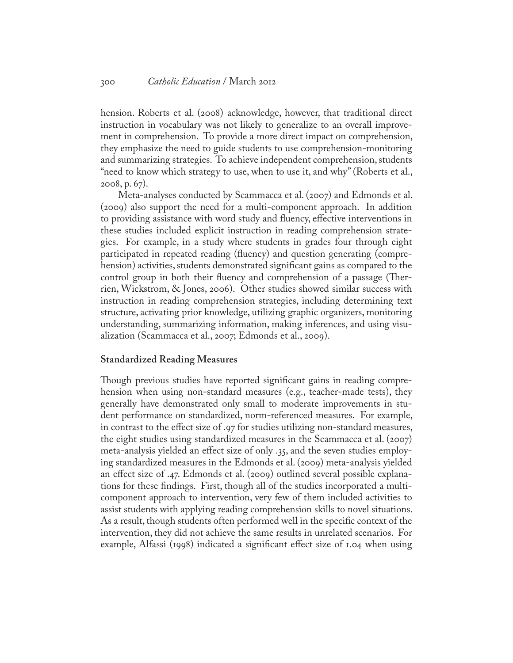hension. Roberts et al. (2008) acknowledge, however, that traditional direct instruction in vocabulary was not likely to generalize to an overall improvement in comprehension. To provide a more direct impact on comprehension, they emphasize the need to guide students to use comprehension-monitoring and summarizing strategies. To achieve independent comprehension, students "need to know which strategy to use, when to use it, and why" (Roberts et al., 2008, p. 67).

Meta-analyses conducted by Scammacca et al. (2007) and Edmonds et al. (2009) also support the need for a multi-component approach. In addition to providing assistance with word study and fluency, effective interventions in these studies included explicit instruction in reading comprehension strategies. For example, in a study where students in grades four through eight participated in repeated reading (fluency) and question generating (comprehension) activities, students demonstrated significant gains as compared to the control group in both their fluency and comprehension of a passage (Therrien, Wickstrom, & Jones, 2006). Other studies showed similar success with instruction in reading comprehension strategies, including determining text structure, activating prior knowledge, utilizing graphic organizers, monitoring understanding, summarizing information, making inferences, and using visualization (Scammacca et al., 2007; Edmonds et al., 2009).

#### **Standardized Reading Measures**

Though previous studies have reported significant gains in reading comprehension when using non-standard measures (e.g., teacher-made tests), they generally have demonstrated only small to moderate improvements in student performance on standardized, norm-referenced measures. For example, in contrast to the effect size of .97 for studies utilizing non-standard measures, the eight studies using standardized measures in the Scammacca et al. (2007) meta-analysis yielded an effect size of only .35, and the seven studies employing standardized measures in the Edmonds et al. (2009) meta-analysis yielded an effect size of .47. Edmonds et al. (2009) outlined several possible explanations for these findings. First, though all of the studies incorporated a multicomponent approach to intervention, very few of them included activities to assist students with applying reading comprehension skills to novel situations. As a result, though students often performed well in the specific context of the intervention, they did not achieve the same results in unrelated scenarios. For example, Alfassi (1998) indicated a significant effect size of 1.04 when using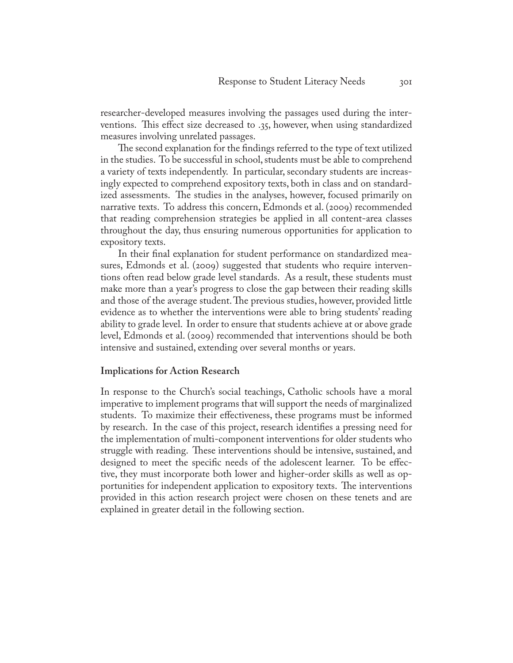researcher-developed measures involving the passages used during the interventions. This effect size decreased to .35, however, when using standardized measures involving unrelated passages.

The second explanation for the findings referred to the type of text utilized in the studies. To be successful in school, students must be able to comprehend a variety of texts independently. In particular, secondary students are increasingly expected to comprehend expository texts, both in class and on standardized assessments. The studies in the analyses, however, focused primarily on narrative texts. To address this concern, Edmonds et al. (2009) recommended that reading comprehension strategies be applied in all content-area classes throughout the day, thus ensuring numerous opportunities for application to expository texts.

In their final explanation for student performance on standardized measures, Edmonds et al. (2009) suggested that students who require interventions often read below grade level standards. As a result, these students must make more than a year's progress to close the gap between their reading skills and those of the average student. The previous studies, however, provided little evidence as to whether the interventions were able to bring students' reading ability to grade level. In order to ensure that students achieve at or above grade level, Edmonds et al. (2009) recommended that interventions should be both intensive and sustained, extending over several months or years.

#### **Implications for Action Research**

In response to the Church's social teachings, Catholic schools have a moral imperative to implement programs that will support the needs of marginalized students. To maximize their effectiveness, these programs must be informed by research. In the case of this project, research identifies a pressing need for the implementation of multi-component interventions for older students who struggle with reading. These interventions should be intensive, sustained, and designed to meet the specific needs of the adolescent learner. To be effective, they must incorporate both lower and higher-order skills as well as opportunities for independent application to expository texts. The interventions provided in this action research project were chosen on these tenets and are explained in greater detail in the following section.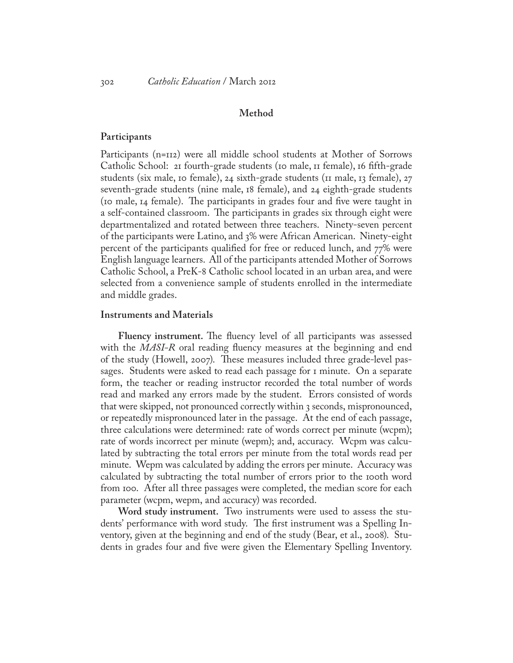#### **Method**

#### **Participants**

Participants (n=112) were all middle school students at Mother of Sorrows Catholic School: 21 fourth-grade students (10 male, 11 female), 16 fifth-grade students (six male, 10 female), 24 sixth-grade students (11 male, 13 female), 27 seventh-grade students (nine male, 18 female), and 24 eighth-grade students (10 male, 14 female). The participants in grades four and five were taught in a self-contained classroom. The participants in grades six through eight were departmentalized and rotated between three teachers. Ninety-seven percent of the participants were Latino, and 3% were African American. Ninety-eight percent of the participants qualified for free or reduced lunch, and 77% were English language learners. All of the participants attended Mother of Sorrows Catholic School, a PreK-8 Catholic school located in an urban area, and were selected from a convenience sample of students enrolled in the intermediate and middle grades.

#### **Instruments and Materials**

**Fluency instrument.** The fluency level of all participants was assessed with the *MASI-R* oral reading fluency measures at the beginning and end of the study (Howell, 2007). These measures included three grade-level passages. Students were asked to read each passage for 1 minute. On a separate form, the teacher or reading instructor recorded the total number of words read and marked any errors made by the student. Errors consisted of words that were skipped, not pronounced correctly within 3 seconds, mispronounced, or repeatedly mispronounced later in the passage. At the end of each passage, three calculations were determined: rate of words correct per minute (wcpm); rate of words incorrect per minute (wepm); and, accuracy. Wcpm was calculated by subtracting the total errors per minute from the total words read per minute. Wepm was calculated by adding the errors per minute. Accuracy was calculated by subtracting the total number of errors prior to the 100th word from 100. After all three passages were completed, the median score for each parameter (wcpm, wepm, and accuracy) was recorded.

**Word study instrument.** Two instruments were used to assess the students' performance with word study. The first instrument was a Spelling Inventory, given at the beginning and end of the study (Bear, et al., 2008). Students in grades four and five were given the Elementary Spelling Inventory.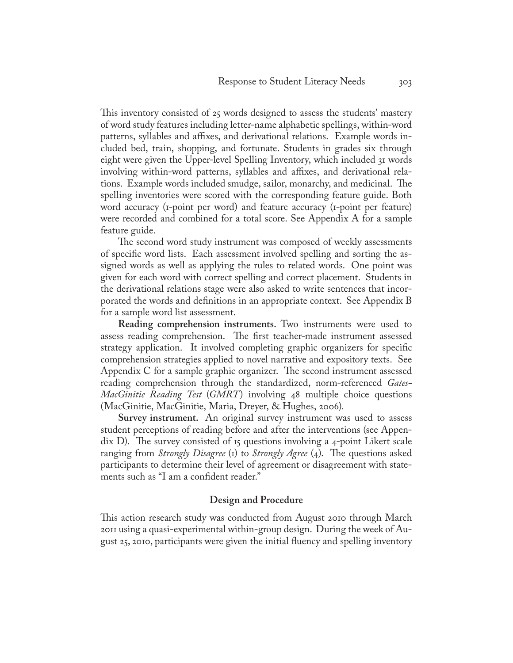This inventory consisted of 25 words designed to assess the students' mastery of word study features including letter-name alphabetic spellings, within-word patterns, syllables and affixes, and derivational relations. Example words included bed, train, shopping, and fortunate. Students in grades six through eight were given the Upper-level Spelling Inventory, which included 31 words involving within-word patterns, syllables and affixes, and derivational relations. Example words included smudge, sailor, monarchy, and medicinal. The spelling inventories were scored with the corresponding feature guide. Both word accuracy (1-point per word) and feature accuracy (1-point per feature) were recorded and combined for a total score. See Appendix A for a sample feature guide.

The second word study instrument was composed of weekly assessments of specific word lists. Each assessment involved spelling and sorting the assigned words as well as applying the rules to related words. One point was given for each word with correct spelling and correct placement. Students in the derivational relations stage were also asked to write sentences that incorporated the words and definitions in an appropriate context. See Appendix B for a sample word list assessment.

**Reading comprehension instruments.** Two instruments were used to assess reading comprehension. The first teacher-made instrument assessed strategy application. It involved completing graphic organizers for specific comprehension strategies applied to novel narrative and expository texts. See Appendix C for a sample graphic organizer. The second instrument assessed reading comprehension through the standardized, norm-referenced *Gates-MacGinitie Reading Test* (*GMRT*) involving 48 multiple choice questions (MacGinitie, MacGinitie, Maria, Dreyer, & Hughes, 2006).

**Survey instrument.** An original survey instrument was used to assess student perceptions of reading before and after the interventions (see Appendix D). The survey consisted of 15 questions involving a 4-point Likert scale ranging from *Strongly Disagree* (1) to *Strongly Agree* (4). The questions asked participants to determine their level of agreement or disagreement with statements such as "I am a confident reader."

#### **Design and Procedure**

This action research study was conducted from August 2010 through March 2011 using a quasi-experimental within-group design. During the week of August 25, 2010, participants were given the initial fluency and spelling inventory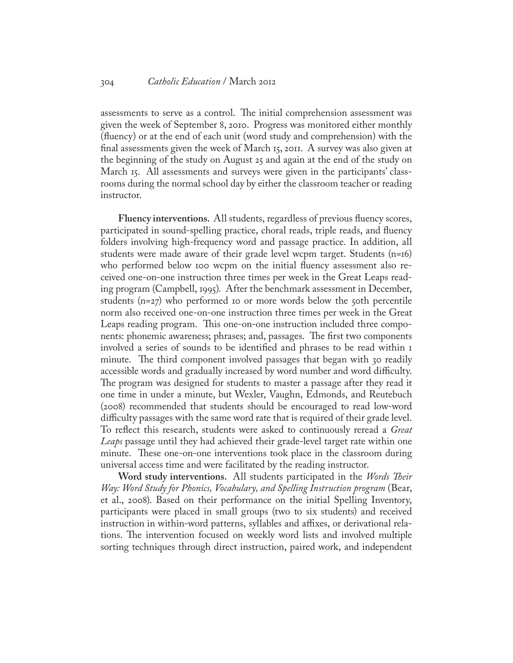#### 304 *Catholic Education* / March 2012

assessments to serve as a control. The initial comprehension assessment was given the week of September 8, 2010. Progress was monitored either monthly (fluency) or at the end of each unit (word study and comprehension) with the final assessments given the week of March 15, 2011. A survey was also given at the beginning of the study on August 25 and again at the end of the study on March 15. All assessments and surveys were given in the participants' classrooms during the normal school day by either the classroom teacher or reading instructor.

**Fluency interventions.** All students, regardless of previous fluency scores, participated in sound-spelling practice, choral reads, triple reads, and fluency folders involving high-frequency word and passage practice. In addition, all students were made aware of their grade level wcpm target. Students (n=16) who performed below 100 wcpm on the initial fluency assessment also received one-on-one instruction three times per week in the Great Leaps reading program (Campbell, 1995). After the benchmark assessment in December, students  $(n=27)$  who performed 10 or more words below the 50th percentile norm also received one-on-one instruction three times per week in the Great Leaps reading program. This one-on-one instruction included three components: phonemic awareness; phrases; and, passages. The first two components involved a series of sounds to be identified and phrases to be read within 1 minute. The third component involved passages that began with 30 readily accessible words and gradually increased by word number and word difficulty. The program was designed for students to master a passage after they read it one time in under a minute, but Wexler, Vaughn, Edmonds, and Reutebuch (2008) recommended that students should be encouraged to read low-word difficulty passages with the same word rate that is required of their grade level. To reflect this research, students were asked to continuously reread a *Great Leaps* passage until they had achieved their grade-level target rate within one minute. These one-on-one interventions took place in the classroom during universal access time and were facilitated by the reading instructor.

**Word study interventions.** All students participated in the *Words Their Way: Word Study for Phonics, Vocabulary, and Spelling Instruction program* (Bear, et al., 2008). Based on their performance on the initial Spelling Inventory, participants were placed in small groups (two to six students) and received instruction in within-word patterns, syllables and affixes, or derivational relations. The intervention focused on weekly word lists and involved multiple sorting techniques through direct instruction, paired work, and independent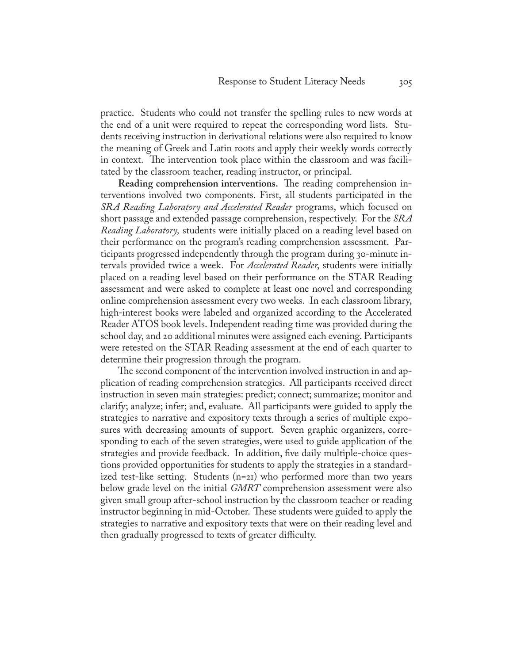practice. Students who could not transfer the spelling rules to new words at the end of a unit were required to repeat the corresponding word lists. Students receiving instruction in derivational relations were also required to know the meaning of Greek and Latin roots and apply their weekly words correctly in context. The intervention took place within the classroom and was facilitated by the classroom teacher, reading instructor, or principal.

**Reading comprehension interventions.** The reading comprehension interventions involved two components. First, all students participated in the *SRA Reading Laboratory and Accelerated Reader* programs, which focused on short passage and extended passage comprehension, respectively. For the *SRA Reading Laboratory,* students were initially placed on a reading level based on their performance on the program's reading comprehension assessment. Participants progressed independently through the program during 30-minute intervals provided twice a week. For *Accelerated Reader*, students were initially placed on a reading level based on their performance on the STAR Reading assessment and were asked to complete at least one novel and corresponding online comprehension assessment every two weeks. In each classroom library, high-interest books were labeled and organized according to the Accelerated Reader ATOS book levels. Independent reading time was provided during the school day, and 20 additional minutes were assigned each evening. Participants were retested on the STAR Reading assessment at the end of each quarter to determine their progression through the program.

The second component of the intervention involved instruction in and application of reading comprehension strategies. All participants received direct instruction in seven main strategies: predict; connect; summarize; monitor and clarify; analyze; infer; and, evaluate. All participants were guided to apply the strategies to narrative and expository texts through a series of multiple exposures with decreasing amounts of support. Seven graphic organizers, corresponding to each of the seven strategies, were used to guide application of the strategies and provide feedback. In addition, five daily multiple-choice questions provided opportunities for students to apply the strategies in a standardized test-like setting. Students (n=21) who performed more than two years below grade level on the initial *GMRT* comprehension assessment were also given small group after-school instruction by the classroom teacher or reading instructor beginning in mid-October. These students were guided to apply the strategies to narrative and expository texts that were on their reading level and then gradually progressed to texts of greater difficulty.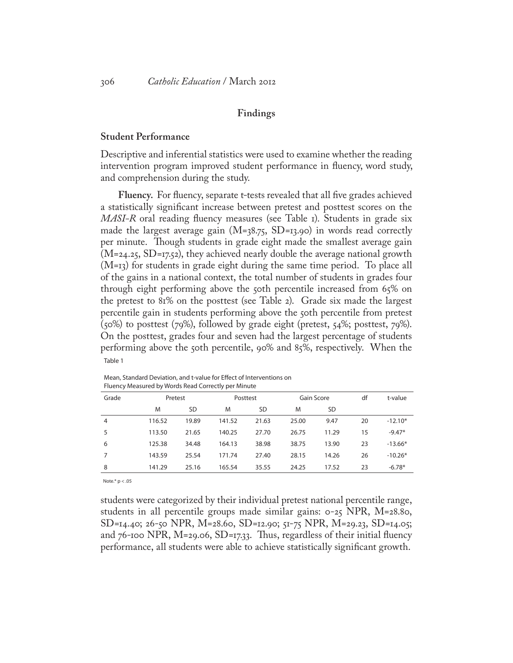#### **Findings**

#### **Student Performance**

Descriptive and inferential statistics were used to examine whether the reading intervention program improved student performance in fluency, word study, and comprehension during the study.

**Fluency.** For fluency, separate t-tests revealed that all five grades achieved a statistically significant increase between pretest and posttest scores on the *MASI-R* oral reading fluency measures (see Table 1). Students in grade six made the largest average gain ( $M=38.75$ ,  $SD=13.90$ ) in words read correctly per minute. Though students in grade eight made the smallest average gain  $(M=24.25, SD=17.52)$ , they achieved nearly double the average national growth (M=13) for students in grade eight during the same time period. To place all of the gains in a national context, the total number of students in grades four through eight performing above the 50th percentile increased from 65% on the pretest to 81% on the posttest (see Table 2). Grade six made the largest percentile gain in students performing above the 50th percentile from pretest (50%) to posttest (79%), followed by grade eight (pretest, 54%; posttest, 79%). On the posttest, grades four and seven had the largest percentage of students performing above the 50th percentile, 90% and 85%, respectively. When the Table 1

| Grade          | Pretest |           | Posttest |           | Gain Score |           | df | t-value   |
|----------------|---------|-----------|----------|-----------|------------|-----------|----|-----------|
|                | M       | <b>SD</b> | M        | <b>SD</b> | M          | <b>SD</b> |    |           |
| $\overline{4}$ | 116.52  | 19.89     | 141.52   | 21.63     | 25.00      | 9.47      | 20 | $-12.10*$ |
| 5              | 113.50  | 21.65     | 140.25   | 27.70     | 26.75      | 11.29     | 15 | $-9.47*$  |
| 6              | 125.38  | 34.48     | 164.13   | 38.98     | 38.75      | 13.90     | 23 | $-13.66*$ |
|                | 143.59  | 25.54     | 171.74   | 27.40     | 28.15      | 14.26     | 26 | $-10.26*$ |
| 8              | 141.29  | 25.16     | 165.54   | 35.55     | 24.25      | 17.52     | 23 | $-6.78*$  |
|                |         |           |          |           |            |           |    |           |

Mean, Standard Deviation, and t-value for Effect of Interventions on Fluency Measured by Words Read Correctly per Minute

Note.\* p < .05

students were categorized by their individual pretest national percentile range, students in all percentile groups made similar gains: 0-25 NPR, M=28.80, SD=14.40; 26-50 NPR, M=28.60, SD=12.90; 51-75 NPR, M=29.23, SD=14.05; and  $76$ -100 NPR, M=29.06, SD=17.33. Thus, regardless of their initial fluency performance, all students were able to achieve statistically significant growth.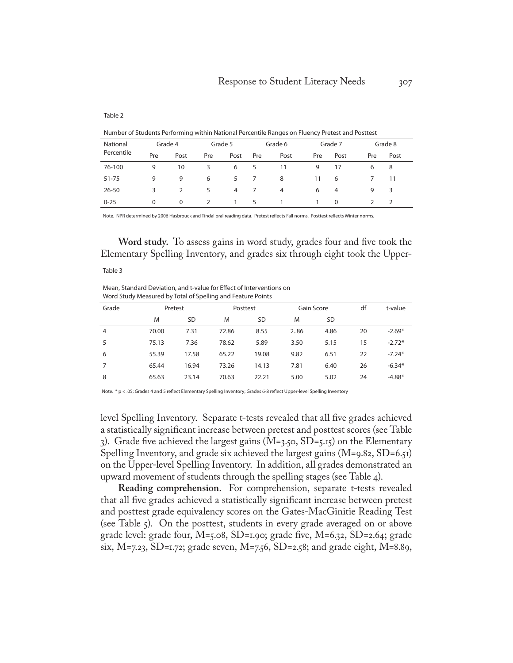#### Table 2

Number of Students Performing within National Percentile Ranges on Fluency Pretest and Posttest

| National   |              | Grade 4       |               | Grade 5 |     | Grade 6        |     | Grade 7 |     | Grade 8       |
|------------|--------------|---------------|---------------|---------|-----|----------------|-----|---------|-----|---------------|
| Percentile | Pre          | Post          | Pre           | Post    | Pre | Post           | Pre | Post    | Pre | Post          |
| 76-100     | 9            | 10            | 3             | 6       | 5   | 11             | 9   | 17      | 6   | 8             |
| $51 - 75$  | 9            | 9             | 6             | 5       |     | 8              | 11  | 6       |     | 11            |
| $26 - 50$  | 3            | $\mathcal{P}$ | 5             | 4       |     | $\overline{4}$ | 6   | 4       | 9   | 3             |
| $0 - 25$   | $\mathbf{0}$ | 0             | $\mathcal{L}$ | 1       | 5   |                | 1   | 0       |     | $\mathcal{L}$ |

Note. NPR determined by 2006 Hasbrouck and Tindal oral reading data. Pretest reflects Fall norms. Posttest reflects Winter norms.

**Word study.** To assess gains in word study, grades four and five took the Elementary Spelling Inventory, and grades six through eight took the Upper-

#### Table 3

Mean, Standard Deviation, and t-value for Effect of Interventions on Word Study Measured by Total of Spelling and Feature Points

| Grade          |       | Pretest |       | Posttest  | Gain Score |      | df | t-value  |
|----------------|-------|---------|-------|-----------|------------|------|----|----------|
|                | M     | SD      | M     | <b>SD</b> | M          | SD   |    |          |
| $\overline{4}$ | 70.00 | 7.31    | 72.86 | 8.55      | 2.86       | 4.86 | 20 | $-2.69*$ |
| 5              | 75.13 | 7.36    | 78.62 | 5.89      | 3.50       | 5.15 | 15 | $-2.72*$ |
| 6              | 55.39 | 17.58   | 65.22 | 19.08     | 9.82       | 6.51 | 22 | $-7.24*$ |
|                | 65.44 | 16.94   | 73.26 | 14.13     | 7.81       | 6.40 | 26 | $-6.34*$ |
| 8              | 65.63 | 23.14   | 70.63 | 22.21     | 5.00       | 5.02 | 24 | $-4.88*$ |

Note. \* p < .05; Grades 4 and 5 reflect Elementary Spelling Inventory; Grades 6-8 reflect Upper-level Spelling Inventory

level Spelling Inventory. Separate t-tests revealed that all five grades achieved a statistically significant increase between pretest and posttest scores (see Table 3). Grade five achieved the largest gains  $(M=3.50, SD=5.15)$  on the Elementary Spelling Inventory, and grade six achieved the largest gains  $(M=9.82, SD=6.51)$ on the Upper-level Spelling Inventory. In addition, all grades demonstrated an upward movement of students through the spelling stages (see Table 4).

**Reading comprehension.** For comprehension, separate t-tests revealed that all five grades achieved a statistically significant increase between pretest and posttest grade equivalency scores on the Gates-MacGinitie Reading Test (see Table 5). On the posttest, students in every grade averaged on or above grade level: grade four,  $M$ =5.08,  $SD$ =1.90; grade five,  $M$ =6.32,  $SD$ =2.64; grade six, M=7.23, SD=1.72; grade seven, M=7.56, SD=2.58; and grade eight, M=8.89,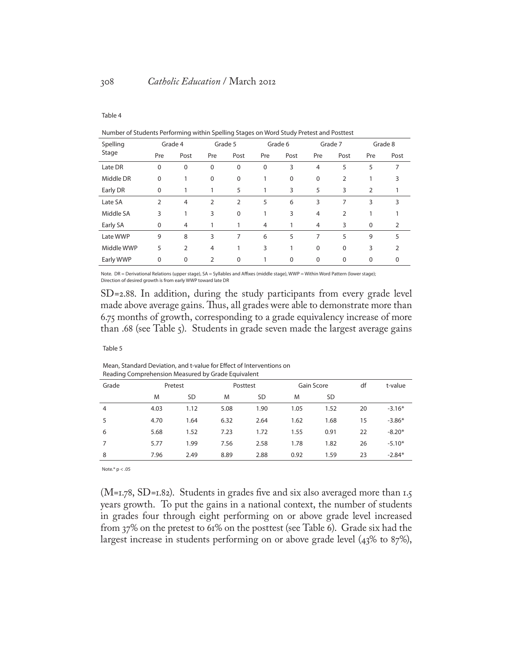#### Table 4

|  | Number of Students Performing within Spelling Stages on Word Study Pretest and Posttest |
|--|-----------------------------------------------------------------------------------------|
|--|-----------------------------------------------------------------------------------------|

| Spelling   |                | Grade 4        |                | Grade 5     |             | Grade 6 |                | Grade 7        |              | Grade 8 |
|------------|----------------|----------------|----------------|-------------|-------------|---------|----------------|----------------|--------------|---------|
| Stage      | Pre            | Post           | Pre            | Post        | Pre         | Post    | Pre            | Post           | Pre          | Post    |
| Late DR    | 0              | $\mathbf 0$    | 0              | $\mathbf 0$ | $\mathbf 0$ | 3       | $\overline{4}$ | 5              | 5            | 7       |
| Middle DR  | $\mathbf 0$    |                | 0              | $\mathbf 0$ |             | 0       | $\mathbf 0$    | $\overline{2}$ |              | 3       |
| Early DR   | $\mathbf 0$    |                |                | 5           | 1           | 3       | 5              | 3              | 2            | 1       |
| Late SA    | $\overline{2}$ | $\overline{4}$ | $\overline{2}$ | 2           | 5           | 6       | 3              | 7              | 3            | 3       |
| Middle SA  | 3              | 1              | 3              | $\mathbf 0$ | 1           | 3       | $\overline{4}$ | 2              |              | 1       |
| Early SA   | $\mathbf 0$    | $\overline{4}$ |                | 1           | 4           | 1       | 4              | 3              | $\mathbf{0}$ | 2       |
| Late WWP   | 9              | 8              | 3              | 7           | 6           | 5       | 7              | 5              | 9            | 5       |
| Middle WWP | 5              | $\overline{2}$ | 4              | 1           | 3           | 1       | $\mathbf 0$    | $\Omega$       | 3            | 2       |
| Early WWP  | $\mathbf 0$    | $\mathbf 0$    | 2              | $\mathbf 0$ |             | 0       | $\mathbf 0$    | $\Omega$       | $\mathbf 0$  | 0       |
|            |                |                |                |             |             |         |                |                |              |         |

Note. DR = Derivational Relations (upper stage), SA = Syllables and Affixes (middle stage), WWP = Within Word Pattern (lower stage); Direction of desired growth is from early WWP toward late DR

SD=2.88. In addition, during the study participants from every grade level made above average gains. Thus, all grades were able to demonstrate more than 6.75 months of growth, corresponding to a grade equivalency increase of more than .68 (see Table 5). Students in grade seven made the largest average gains

#### Table 5

Mean, Standard Deviation, and t-value for Effect of Interventions on Reading Comprehension Measured by Grade Equivalent

| Grade |      | Pretest   |      | Posttest  | Gain Score |      | df | t-value  |
|-------|------|-----------|------|-----------|------------|------|----|----------|
|       | M    | <b>SD</b> | M    | <b>SD</b> | M          | SD   |    |          |
| 4     | 4.03 | 1.12      | 5.08 | 1.90      | 1.05       | 1.52 | 20 | $-3.16*$ |
| 5     | 4.70 | 1.64      | 6.32 | 2.64      | 1.62       | 1.68 | 15 | $-3.86*$ |
| 6     | 5.68 | 1.52      | 7.23 | 1.72      | 1.55       | 0.91 | 22 | $-8.20*$ |
| 7     | 5.77 | 1.99      | 7.56 | 2.58      | 1.78       | 1.82 | 26 | $-5.10*$ |
| 8     | 7.96 | 2.49      | 8.89 | 2.88      | 0.92       | 1.59 | 23 | $-2.84*$ |

Note.\* p < .05

(M=1.78, SD=1.82). Students in grades five and six also averaged more than 1.5 years growth. To put the gains in a national context, the number of students in grades four through eight performing on or above grade level increased from 37% on the pretest to 61% on the posttest (see Table 6). Grade six had the largest increase in students performing on or above grade level (43% to 87%),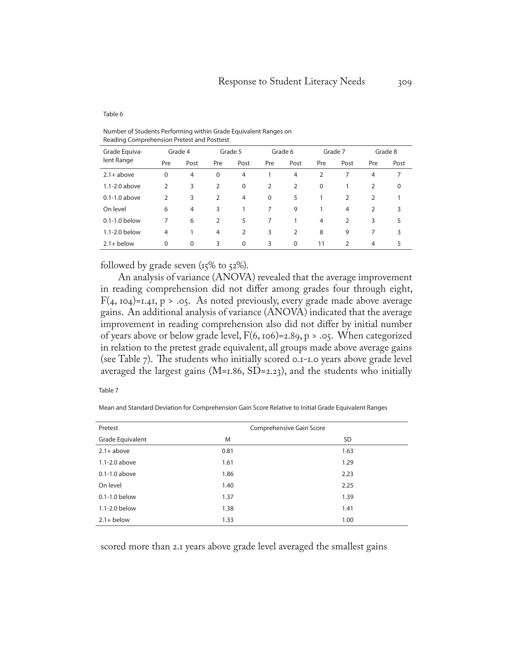#### Table 6

Number of Students Performing within Grade Equivalent Ranges on Reading Comprehension Pretest and Posttest

| Grade Equiva-     |                | Grade 4        |                | Grade 5        |          | Grade 6        |          | Grade 7        |                | Grade 8 |
|-------------------|----------------|----------------|----------------|----------------|----------|----------------|----------|----------------|----------------|---------|
| lent Range        | Pre            | Post           | Pre            | Post           | Pre      | Post           | Pre      | Post           | Pre            | Post    |
| $2.1 + above$     | $\Omega$       | $\overline{4}$ | $\mathbf 0$    | 4              |          | $\overline{4}$ | 2        |                | $\overline{4}$ | 7       |
| $1.1 - 2.0$ above | 2              | 3              | $\overline{2}$ | $\mathbf 0$    | 2        | 2              | $\Omega$ |                | $\overline{2}$ | 0       |
| $0.1 - 1.0$ above | 2              | 3              | $\overline{2}$ | 4              | $\Omega$ | 5              |          | $\overline{2}$ | $\overline{2}$ |         |
| On level          | 6              | $\overline{4}$ | 3              |                | 7        | 9              |          | $\overline{4}$ | $\overline{2}$ | 3       |
| 0.1-1.0 below     | 7              | 6              | $\overline{2}$ | 5              | 7        |                | 4        | $\overline{2}$ | 3              | 5       |
| 1.1-2.0 below     | $\overline{4}$ |                | 4              | $\overline{2}$ | 3        | 2              | 8        | 9              | 7              | 3       |
| $2.1 +$ below     | $\Omega$       | 0              | 3              | 0              | 3        | $\mathbf 0$    | 11       | $\overline{2}$ | 4              | 5       |

followed by grade seven  $(15\% \text{ to } 52\%).$ 

An analysis of variance (ANOVA) revealed that the average improvement in reading comprehension did not differ among grades four through eight,  $F(4, 104)$ =1.41, p > .05. As noted previously, every grade made above average gains. An additional analysis of variance (ANOVA) indicated that the average improvement in reading comprehension also did not differ by initial number of years above or below grade level,  $F(6, 106) = 2.89$ , p > .05. When categorized in relation to the pretest grade equivalent, all groups made above average gains (see Table 7). The students who initially scored 0.1-1.0 years above grade level averaged the largest gains ( $M=1.86$ ,  $SD=2.23$ ), and the students who initially

| $ -$<br>w<br>۰. |  |  |  |
|-----------------|--|--|--|
|-----------------|--|--|--|

Mean and Standard Deviation for Comprehension Gain Score Relative to Initial Grade Equivalent Ranges

| Pretest           |      | Comprehensive Gain Score |
|-------------------|------|--------------------------|
| Grade Equivalent  | M    | <b>SD</b>                |
| $2.1 + above$     | 0.81 | 1.63                     |
| $1.1 - 2.0$ above | 1.61 | 1.29                     |
| $0.1 - 1.0$ above | 1.86 | 2.23                     |
| On level          | 1.40 | 2.25                     |
| $0.1 - 1.0$ below | 1.37 | 1.39                     |
| 1.1-2.0 below     | 1.38 | 1.41                     |
| $2.1 +$ below     | 1.33 | 1.00                     |

scored more than 2.1 years above grade level averaged the smallest gains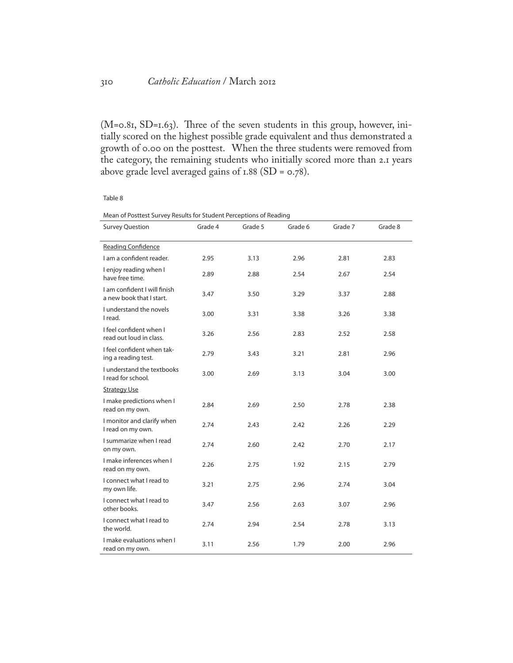(M=0.81, SD=1.63). Three of the seven students in this group, however, initially scored on the highest possible grade equivalent and thus demonstrated a growth of 0.00 on the posttest. When the three students were removed from the category, the remaining students who initially scored more than 2.1 years above grade level averaged gains of  $1.88$  (SD =  $0.78$ ).

#### Table 8

| <b>Survey Question</b>                                  | Grade 4 | Grade 5 | Grade 6 | Grade 7 | Grade 8 |
|---------------------------------------------------------|---------|---------|---------|---------|---------|
| <b>Reading Confidence</b>                               |         |         |         |         |         |
| I am a confident reader.                                | 2.95    | 3.13    | 2.96    | 2.81    | 2.83    |
| I enjoy reading when I<br>have free time.               | 2.89    | 2.88    | 2.54    | 2.67    | 2.54    |
| Lam confident I will finish<br>a new book that I start. | 3.47    | 3.50    | 3.29    | 3.37    | 2.88    |
| I understand the novels<br>I read.                      | 3.00    | 3.31    | 3.38    | 3.26    | 3.38    |
| I feel confident when I<br>read out loud in class.      | 3.26    | 2.56    | 2.83    | 2.52    | 2.58    |
| I feel confident when tak-<br>ing a reading test.       | 2.79    | 3.43    | 3.21    | 2.81    | 2.96    |
| I understand the textbooks<br>I read for school.        | 3.00    | 2.69    | 3.13    | 3.04    | 3.00    |
| <b>Strategy Use</b>                                     |         |         |         |         |         |
| I make predictions when I<br>read on my own.            | 2.84    | 2.69    | 2.50    | 2.78    | 2.38    |
| I monitor and clarify when<br>I read on my own.         | 2.74    | 2.43    | 2.42    | 2.26    | 2.29    |
| I summarize when I read<br>on my own.                   | 2.74    | 2.60    | 2.42    | 2.70    | 2.17    |
| I make inferences when I<br>read on my own.             | 2.26    | 2.75    | 1.92    | 2.15    | 2.79    |
| I connect what I read to<br>my own life.                | 3.21    | 2.75    | 2.96    | 2.74    | 3.04    |
| I connect what I read to<br>other books.                | 3.47    | 2.56    | 2.63    | 3.07    | 2.96    |
| I connect what I read to<br>the world.                  | 2.74    | 2.94    | 2.54    | 2.78    | 3.13    |
| I make evaluations when I<br>read on my own.            | 3.11    | 2.56    | 1.79    | 2.00    | 2.96    |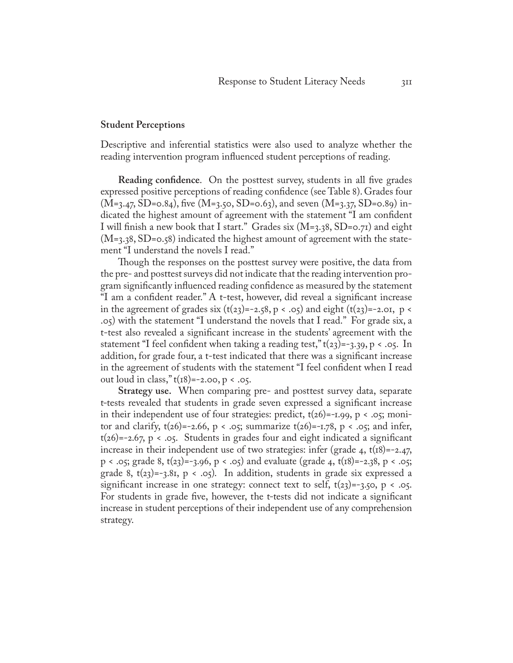#### **Student Perceptions**

Descriptive and inferential statistics were also used to analyze whether the reading intervention program influenced student perceptions of reading.

**Reading confidence**. On the posttest survey, students in all five grades expressed positive perceptions of reading confidence (see Table 8). Grades four  $(M=3.47, SD=0.84)$ , five  $(M=3.50, SD=0.63)$ , and seven  $(M=3.37, SD=0.89)$  indicated the highest amount of agreement with the statement "I am confident I will finish a new book that I start." Grades six (M=3.38, SD=0.71) and eight  $(M=3.38, SD=0.58)$  indicated the highest amount of agreement with the statement "I understand the novels I read."

Though the responses on the posttest survey were positive, the data from the pre- and posttest surveys did not indicate that the reading intervention program significantly influenced reading confidence as measured by the statement "I am a confident reader." A t-test, however, did reveal a significant increase in the agreement of grades six  $(t(23)=-2.58, p \lt .05)$  and eight  $(t(23)=-2.01, p \lt$ .05) with the statement "I understand the novels that I read." For grade six, a t-test also revealed a significant increase in the students' agreement with the statement "I feel confident when taking a reading test,"  $t(23) = -3.39$ ,  $p < .05$ . In addition, for grade four, a t-test indicated that there was a significant increase in the agreement of students with the statement "I feel confident when I read out loud in class," $t(r8) = -2.00$ ,  $p < .05$ .

**Strategy use.** When comparing pre- and posttest survey data, separate t-tests revealed that students in grade seven expressed a significant increase in their independent use of four strategies: predict,  $t(26)$ =-1.99, p < .05; monitor and clarify,  $t(26) = -2.66$ ,  $p < .05$ ; summarize  $t(26) = -1.78$ ,  $p < .05$ ; and infer,  $t(26) = -2.67$ ,  $p \lt .05$ . Students in grades four and eight indicated a significant increase in their independent use of two strategies: infer (grade 4,  $t(18) = -2.47$ , p < .05; grade 8, t(23)=-3.96, p < .05) and evaluate (grade 4, t(18)=-2.38, p < .05; grade 8,  $t(23) = -3.81$ ,  $p < .05$ ). In addition, students in grade six expressed a significant increase in one strategy: connect text to self,  $t(23) = -3.50$ , p < .05. For students in grade five, however, the t-tests did not indicate a significant increase in student perceptions of their independent use of any comprehension strategy.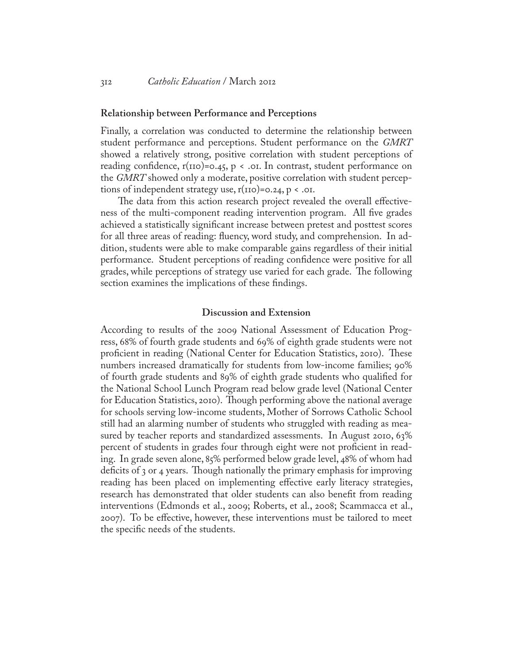#### **Relationship between Performance and Perceptions**

Finally, a correlation was conducted to determine the relationship between student performance and perceptions. Student performance on the *GMRT* showed a relatively strong, positive correlation with student perceptions of reading confidence,  $r(110)=0.45$ ,  $p \lt .01$ . In contrast, student performance on the *GMRT* showed only a moderate, positive correlation with student perceptions of independent strategy use,  $r(110) = 0.24$ ,  $p < .01$ .

The data from this action research project revealed the overall effectiveness of the multi-component reading intervention program. All five grades achieved a statistically significant increase between pretest and posttest scores for all three areas of reading: fluency, word study, and comprehension. In addition, students were able to make comparable gains regardless of their initial performance. Student perceptions of reading confidence were positive for all grades, while perceptions of strategy use varied for each grade. The following section examines the implications of these findings.

#### **Discussion and Extension**

According to results of the 2009 National Assessment of Education Progress, 68% of fourth grade students and 69% of eighth grade students were not proficient in reading (National Center for Education Statistics, 2010). These numbers increased dramatically for students from low-income families; 90% of fourth grade students and 89% of eighth grade students who qualified for the National School Lunch Program read below grade level (National Center for Education Statistics, 2010). Though performing above the national average for schools serving low-income students, Mother of Sorrows Catholic School still had an alarming number of students who struggled with reading as measured by teacher reports and standardized assessments. In August 2010, 63% percent of students in grades four through eight were not proficient in reading. In grade seven alone, 85% performed below grade level, 48% of whom had deficits of 3 or 4 years. Though nationally the primary emphasis for improving reading has been placed on implementing effective early literacy strategies, research has demonstrated that older students can also benefit from reading interventions (Edmonds et al., 2009; Roberts, et al., 2008; Scammacca et al., 2007). To be effective, however, these interventions must be tailored to meet the specific needs of the students.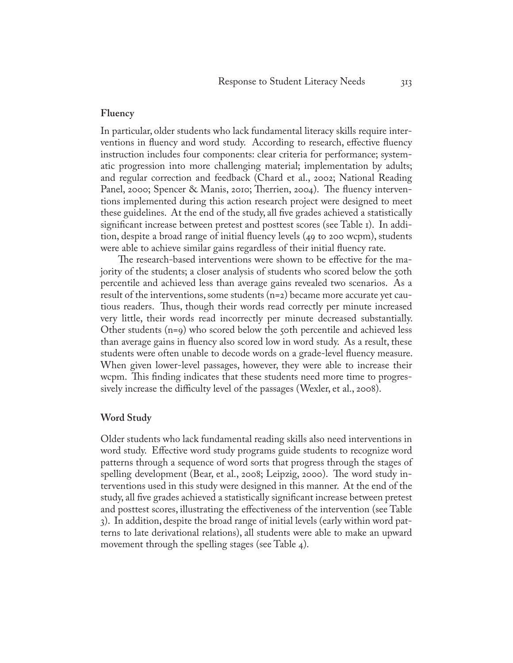#### **Fluency**

In particular, older students who lack fundamental literacy skills require interventions in fluency and word study. According to research, effective fluency instruction includes four components: clear criteria for performance; systematic progression into more challenging material; implementation by adults; and regular correction and feedback (Chard et al., 2002; National Reading Panel, 2000; Spencer & Manis, 2010; Therrien, 2004). The fluency interventions implemented during this action research project were designed to meet these guidelines. At the end of the study, all five grades achieved a statistically significant increase between pretest and posttest scores (see Table 1). In addition, despite a broad range of initial fluency levels (49 to 200 wcpm), students were able to achieve similar gains regardless of their initial fluency rate.

The research-based interventions were shown to be effective for the majority of the students; a closer analysis of students who scored below the 50th percentile and achieved less than average gains revealed two scenarios. As a result of the interventions, some students (n=2) became more accurate yet cautious readers. Thus, though their words read correctly per minute increased very little, their words read incorrectly per minute decreased substantially. Other students (n=9) who scored below the 50th percentile and achieved less than average gains in fluency also scored low in word study. As a result, these students were often unable to decode words on a grade-level fluency measure. When given lower-level passages, however, they were able to increase their wcpm. This finding indicates that these students need more time to progressively increase the difficulty level of the passages (Wexler, et al., 2008).

#### **Word Study**

Older students who lack fundamental reading skills also need interventions in word study. Effective word study programs guide students to recognize word patterns through a sequence of word sorts that progress through the stages of spelling development (Bear, et al., 2008; Leipzig, 2000). The word study interventions used in this study were designed in this manner. At the end of the study, all five grades achieved a statistically significant increase between pretest and posttest scores, illustrating the effectiveness of the intervention (see Table 3). In addition, despite the broad range of initial levels (early within word patterns to late derivational relations), all students were able to make an upward movement through the spelling stages (see Table 4).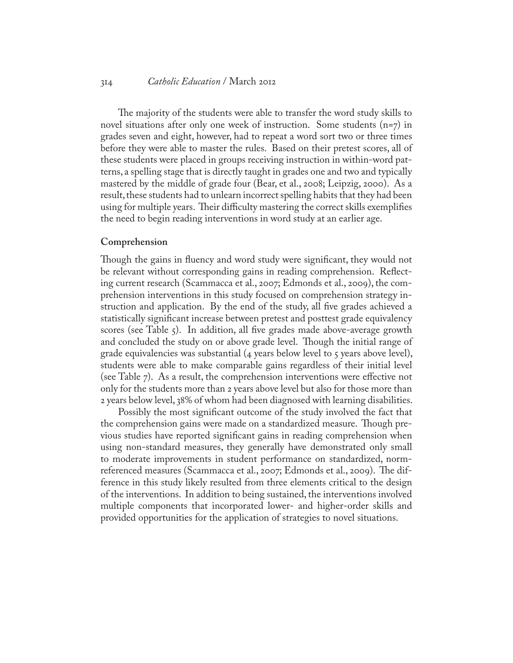#### 314 *Catholic Education* / March 2012

The majority of the students were able to transfer the word study skills to novel situations after only one week of instruction. Some students  $(n=7)$  in grades seven and eight, however, had to repeat a word sort two or three times before they were able to master the rules. Based on their pretest scores, all of these students were placed in groups receiving instruction in within-word patterns, a spelling stage that is directly taught in grades one and two and typically mastered by the middle of grade four (Bear, et al., 2008; Leipzig, 2000). As a result, these students had to unlearn incorrect spelling habits that they had been using for multiple years. Their difficulty mastering the correct skills exemplifies the need to begin reading interventions in word study at an earlier age.

#### **Comprehension**

Though the gains in fluency and word study were significant, they would not be relevant without corresponding gains in reading comprehension. Reflecting current research (Scammacca et al., 2007; Edmonds et al., 2009), the comprehension interventions in this study focused on comprehension strategy instruction and application. By the end of the study, all five grades achieved a statistically significant increase between pretest and posttest grade equivalency scores (see Table 5). In addition, all five grades made above-average growth and concluded the study on or above grade level. Though the initial range of grade equivalencies was substantial (4 years below level to 5 years above level), students were able to make comparable gains regardless of their initial level (see Table 7). As a result, the comprehension interventions were effective not only for the students more than 2 years above level but also for those more than 2 years below level, 38% of whom had been diagnosed with learning disabilities.

Possibly the most significant outcome of the study involved the fact that the comprehension gains were made on a standardized measure. Though previous studies have reported significant gains in reading comprehension when using non-standard measures, they generally have demonstrated only small to moderate improvements in student performance on standardized, normreferenced measures (Scammacca et al., 2007; Edmonds et al., 2009). The difference in this study likely resulted from three elements critical to the design of the interventions. In addition to being sustained, the interventions involved multiple components that incorporated lower- and higher-order skills and provided opportunities for the application of strategies to novel situations.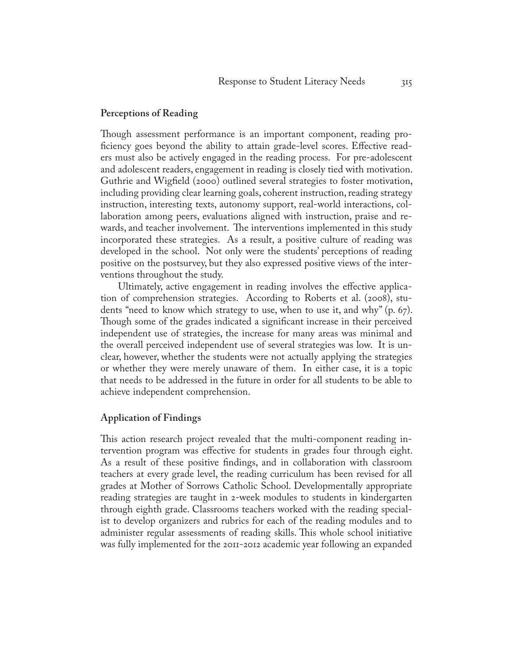#### **Perceptions of Reading**

Though assessment performance is an important component, reading proficiency goes beyond the ability to attain grade-level scores. Effective readers must also be actively engaged in the reading process. For pre-adolescent and adolescent readers, engagement in reading is closely tied with motivation. Guthrie and Wigfield (2000) outlined several strategies to foster motivation, including providing clear learning goals, coherent instruction, reading strategy instruction, interesting texts, autonomy support, real-world interactions, collaboration among peers, evaluations aligned with instruction, praise and rewards, and teacher involvement. The interventions implemented in this study incorporated these strategies. As a result, a positive culture of reading was developed in the school. Not only were the students' perceptions of reading positive on the postsurvey, but they also expressed positive views of the interventions throughout the study.

Ultimately, active engagement in reading involves the effective application of comprehension strategies. According to Roberts et al. (2008), students "need to know which strategy to use, when to use it, and why" (p. 67). Though some of the grades indicated a significant increase in their perceived independent use of strategies, the increase for many areas was minimal and the overall perceived independent use of several strategies was low. It is unclear, however, whether the students were not actually applying the strategies or whether they were merely unaware of them. In either case, it is a topic that needs to be addressed in the future in order for all students to be able to achieve independent comprehension.

#### **Application of Findings**

This action research project revealed that the multi-component reading intervention program was effective for students in grades four through eight. As a result of these positive findings, and in collaboration with classroom teachers at every grade level, the reading curriculum has been revised for all grades at Mother of Sorrows Catholic School. Developmentally appropriate reading strategies are taught in 2-week modules to students in kindergarten through eighth grade. Classrooms teachers worked with the reading specialist to develop organizers and rubrics for each of the reading modules and to administer regular assessments of reading skills. This whole school initiative was fully implemented for the 2011-2012 academic year following an expanded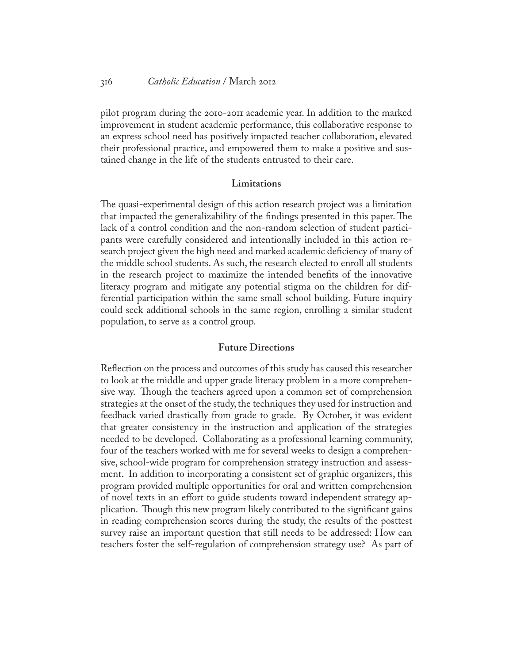#### 316 *Catholic Education* / March 2012

pilot program during the 2010-2011 academic year. In addition to the marked improvement in student academic performance, this collaborative response to an express school need has positively impacted teacher collaboration, elevated their professional practice, and empowered them to make a positive and sustained change in the life of the students entrusted to their care.

#### **Limitations**

The quasi-experimental design of this action research project was a limitation that impacted the generalizability of the findings presented in this paper. The lack of a control condition and the non-random selection of student participants were carefully considered and intentionally included in this action research project given the high need and marked academic deficiency of many of the middle school students. As such, the research elected to enroll all students in the research project to maximize the intended benefits of the innovative literacy program and mitigate any potential stigma on the children for differential participation within the same small school building. Future inquiry could seek additional schools in the same region, enrolling a similar student population, to serve as a control group.

#### **Future Directions**

Reflection on the process and outcomes of this study has caused this researcher to look at the middle and upper grade literacy problem in a more comprehensive way. Though the teachers agreed upon a common set of comprehension strategies at the onset of the study, the techniques they used for instruction and feedback varied drastically from grade to grade. By October, it was evident that greater consistency in the instruction and application of the strategies needed to be developed. Collaborating as a professional learning community, four of the teachers worked with me for several weeks to design a comprehensive, school-wide program for comprehension strategy instruction and assessment. In addition to incorporating a consistent set of graphic organizers, this program provided multiple opportunities for oral and written comprehension of novel texts in an effort to guide students toward independent strategy application. Though this new program likely contributed to the significant gains in reading comprehension scores during the study, the results of the posttest survey raise an important question that still needs to be addressed: How can teachers foster the self-regulation of comprehension strategy use? As part of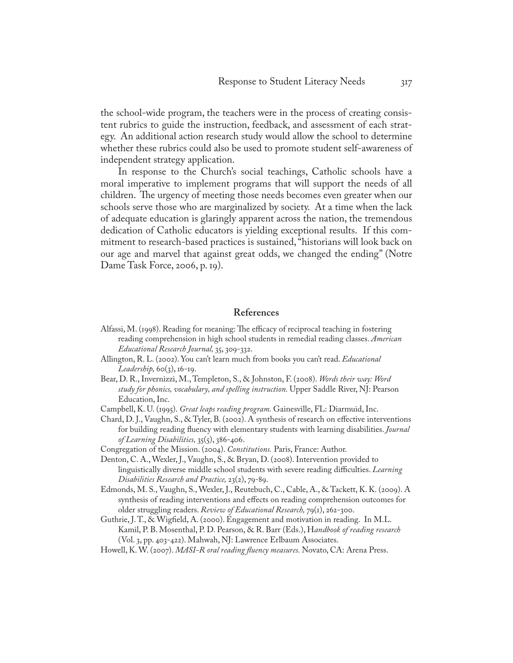the school-wide program, the teachers were in the process of creating consistent rubrics to guide the instruction, feedback, and assessment of each strategy. An additional action research study would allow the school to determine whether these rubrics could also be used to promote student self-awareness of independent strategy application.

In response to the Church's social teachings, Catholic schools have a moral imperative to implement programs that will support the needs of all children. The urgency of meeting those needs becomes even greater when our schools serve those who are marginalized by society. At a time when the lack of adequate education is glaringly apparent across the nation, the tremendous dedication of Catholic educators is yielding exceptional results. If this commitment to research-based practices is sustained, "historians will look back on our age and marvel that against great odds, we changed the ending" (Notre Dame Task Force, 2006, p. 19).

#### **References**

- Alfassi, M. (1998). Reading for meaning: The efficacy of reciprocal teaching in fostering reading comprehension in high school students in remedial reading classes. *American Educational Research Journal,* 35, 309-332.
- Allington, R. L. (2002). You can't learn much from books you can't read. *Educational Leadership,* 60(3), 16-19.
- Bear, D. R., Invernizzi, M., Templeton, S., & Johnston, F. (2008). *Words their way: Word study for phonics, vocabulary, and spelling instruction.* Upper Saddle River, NJ: Pearson Education, Inc.
- Campbell, K. U. (1995). *Great leaps reading program.* Gainesville, FL: Diarmuid, Inc.
- Chard, D. J., Vaughn, S., & Tyler, B. (2002). A synthesis of research on effective interventions for building reading fluency with elementary students with learning disabilities. *Journal of Learning Disabilities,* 35(5), 386-406.
- Congregation of the Mission. (2004). *Constitutions.* Paris, France: Author.
- Denton, C. A., Wexler, J., Vaughn, S., & Bryan, D. (2008). Intervention provided to linguistically diverse middle school students with severe reading difficulties. *Learning Disabilities Research and Practice,* 23(2), 79-89.
- Edmonds, M. S., Vaughn, S., Wexler, J., Reutebuch, C., Cable, A., & Tackett, K. K. (2009). A synthesis of reading interventions and effects on reading comprehension outcomes for older struggling readers. *Review of Educational Research,* 79(1), 262-300.
- Guthrie, J. T., & Wigfield, A. (2000). Engagement and motivation in reading. In M.L. Kamil, P. B. Mosenthal, P. D. Pearson, & R. Barr (Eds.), H*andbook of reading research*  (Vol. 3, pp. 403-422). Mahwah, NJ: Lawrence Erlbaum Associates.
- Howell, K. W. (2007). *MASI-R oral reading fluency measures.* Novato, CA: Arena Press.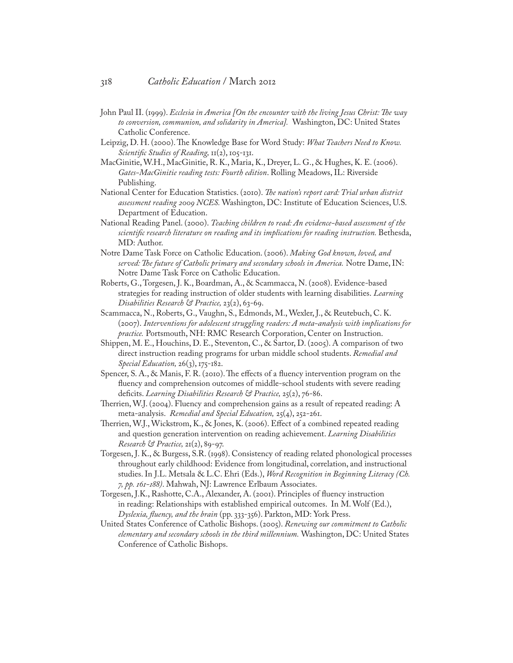- John Paul II. (1999). *Ecclesia in America [On the encounter with the living Jesus Christ: The way to conversion, communion, and solidarity in America].* Washington, DC: United States Catholic Conference.
- Leipzig, D. H. (2000). The Knowledge Base for Word Study: *What Teachers Need to Know. Scientific Studies of Reading,* 11(2), 105-131.
- [MacGinitie](http://www.riversidepublishing.com/products/gmrt/macginitie_w.html), W.H., [MacGinitie,](http://www.riversidepublishing.com/products/gmrt/macginitie_r.html) R. K., [Maria](http://www.riversidepublishing.com/products/gmrt/maria.html), K., [Dreyer,](http://www.riversidepublishing.com/products/gmrt/dreyer.html) L. G., & Hughes, K. E. (2006). *Gates-MacGinitie reading tests: Fourth edition*. Rolling Meadows, IL: Riverside Publishing.
- National Center for Education Statistics. (2010). *The nation's report card: Trial urban district assessment reading 2009 NCES.* Washington, DC: Institute of Education Sciences, U.S. Department of Education.
- National Reading Panel. (2000). *Teaching children to read: An evidence-based assessment of the scientific research literature on reading and its implications for reading instruction.* Bethesda, MD: Author.
- Notre Dame Task Force on Catholic Education. (2006). *Making God known, loved, and served: The future of Catholic primary and secondary schools in America.* Notre Dame, IN: Notre Dame Task Force on Catholic Education.
- Roberts, G., Torgesen, J. K., Boardman, A., & Scammacca, N. (2008). Evidence-based strategies for reading instruction of older students with learning disabilities. *Learning Disabilities Research & Practice,* 23(2), 63-69.
- Scammacca, N., Roberts, G., Vaughn, S., Edmonds, M., Wexler, J., & Reutebuch, C. K. (2007). *Interventions for adolescent struggling readers: A meta-analysis with implications for practice.* Portsmouth, NH: RMC Research Corporation, Center on Instruction.
- Shippen, M. E., Houchins, D. E., Steventon, C., & Sartor, D. (2005). A comparison of two direct instruction reading programs for urban middle school students. *Remedial and Special Education,* 26(3), 175-182.
- Spencer, S. A., & Manis, F. R. (2010). The effects of a fluency intervention program on the fluency and comprehension outcomes of middle-school students with severe reading deficits. *Learning Disabilities Research & Practice,* 25(2), 76-86.
- Therrien, W.J. (2004). Fluency and comprehension gains as a result of repeated reading: A meta-analysis. *Remedial and Special Education,* 25(4), 252-261.
- Therrien, W.J., Wickstrom, K., & Jones, K. (2006). Effect of a combined repeated reading and question generation intervention on reading achievement. *Learning Disabilities Research & Practice,* 21(2), 89-97.
- Torgesen, J. K., & Burgess, S.R. (1998). Consistency of reading related phonological processes throughout early childhood: Evidence from longitudinal, correlation, and instructional studies. In J.L. Metsala & L.C. Ehri (Eds.), *Word Recognition in Beginning Literacy (Ch. 7, pp. 161-188)*. Mahwah, NJ: Lawrence Erlbaum Associates.
- Torgesen, J.K., Rashotte, C.A., Alexander, A. (2001). Principles of fluency instruction in reading: Relationships with established empirical outcomes. In M. Wolf (Ed.), *Dyslexia, fluency, and the brain* (pp. 333-356). Parkton, MD: York Press.
- United States Conference of Catholic Bishops. (2005). *Renewing our commitment to Catholic elementary and secondary schools in the third millennium.* Washington, DC: United States Conference of Catholic Bishops.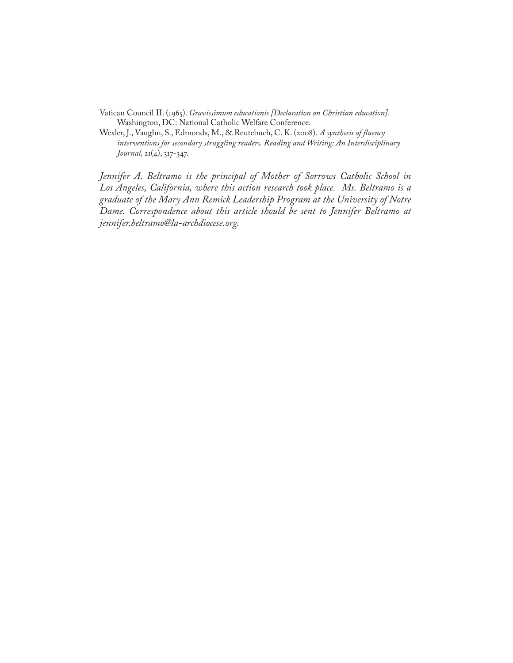Vatican Council II. (1965). *Gravissimum educationis [Declaration on Christian education].*  Washington, DC: National Catholic Welfare Conference.

Wexler, J., Vaughn, S., Edmonds, M., & Reutebuch, C. K. (2008). *A synthesis of fluency interventions for secondary struggling readers. Reading and Writing: An Interdisciplinary Journal,* 21(4), 317-347.

*Jennifer A. Beltramo is the principal of Mother of Sorrows Catholic School in Los Angeles, California, where this action research took place. Ms. Beltramo is a graduate of the Mary Ann Remick Leadership Program at the University of Notre Dame. Correspondence about this article should be sent to Jennifer Beltramo at jennifer.beltramo@la-archdiocese.org.*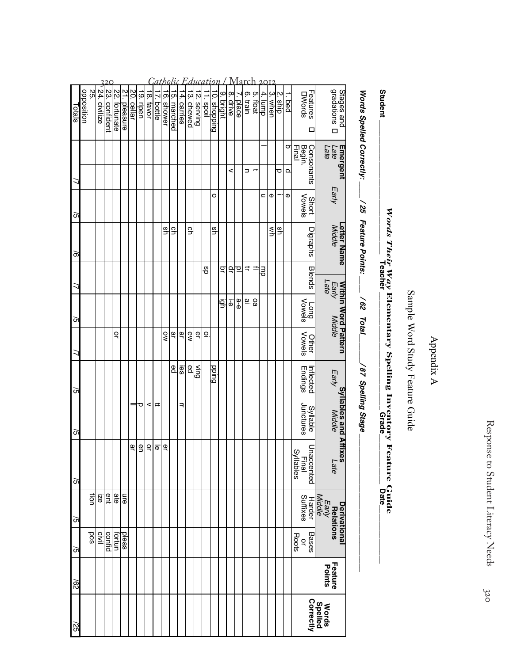# Appendix A Appendix A

# Sample Word Study Feature Guide Sample Word Study Feature Guide

# **Student \_\_\_\_\_\_\_\_\_\_\_\_\_\_\_\_\_\_\_\_\_\_\_\_\_\_\_\_\_\_\_\_ Teacher \_\_\_\_\_\_\_\_\_\_\_\_\_\_\_\_\_\_\_\_\_\_\_\_\_\_\_\_ Grade\_\_\_\_\_\_\_\_\_\_\_\_ Date\_\_\_\_\_\_\_\_\_\_\_\_\_\_** Words Their Way Elementary Spelling Inventory Feature Guide<br><u>Words Their Way Elementary Spelling Inventory</u> Feature Guide *Words Their Way* **Elementary Spelling Inventory Feature Guide**

Words Spelled Correctly: *Words Spelled Correctly: \_\_\_\_ / 25 Feature Points: \_\_\_\_ / 62 Total\_\_\_\_\_\_\_/ 87 Spelling Stage \_\_\_\_\_\_\_\_\_\_\_\_\_\_\_\_\_\_\_\_\_\_\_\_\_\_\_\_\_\_\_\_\_*  $-$  /25 Feature Points: \_\_\_\_\_ /62 Total\_ -/87 Spelling Stage

Student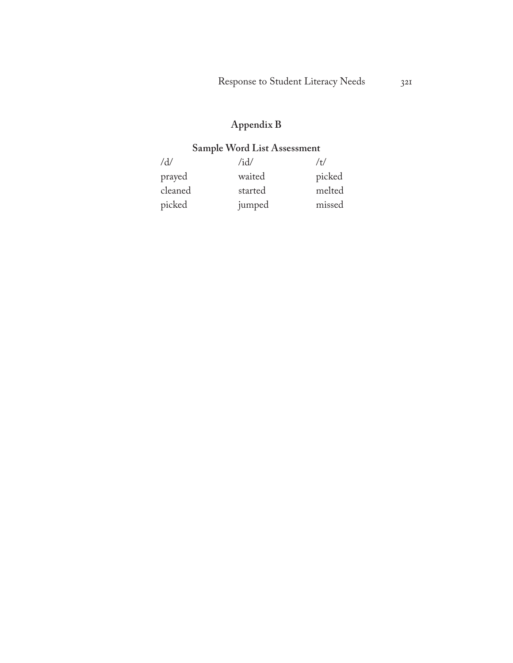### **Appendix B**

#### **Sample Word List Assessment**

| $\rm d/d$ | /id/    | /t/    |
|-----------|---------|--------|
| prayed    | waited  | picked |
| cleaned   | started | melted |
| picked    | jumped  | missed |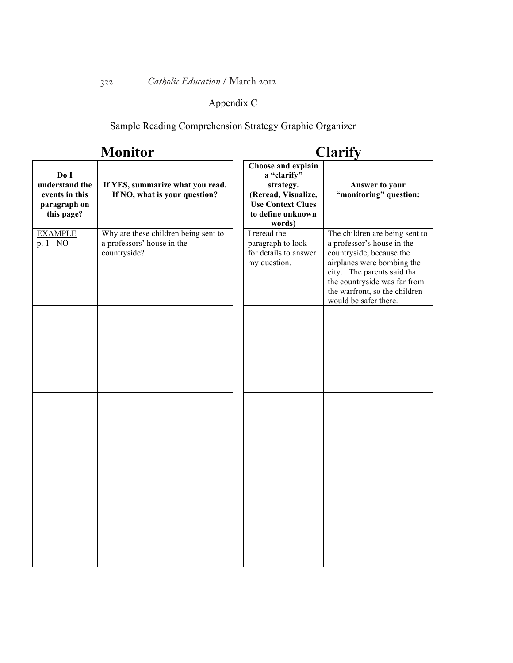#### Appendix C

Sample Reading Comprehension Strategy Graphic Organizer

# **Monitor**

# **Clarify**

| Do I<br>understand the<br>events in this<br>paragraph on<br>this page? | If YES, summarize what you read.<br>If NO, what is your question?                  | Choose and explain<br>a "clarify"<br>strategy.<br>(Reread, Visualize,<br><b>Use Context Clues</b><br>to define unknown<br>words) | Answer to your<br>"monitoring" question:                                                                                                                                                                                                        |
|------------------------------------------------------------------------|------------------------------------------------------------------------------------|----------------------------------------------------------------------------------------------------------------------------------|-------------------------------------------------------------------------------------------------------------------------------------------------------------------------------------------------------------------------------------------------|
| <b>EXAMPLE</b><br>p. 1 - NO                                            | Why are these children being sent to<br>a professors' house in the<br>countryside? | I reread the<br>paragraph to look<br>for details to answer<br>my question.                                                       | The children are being sent to<br>a professor's house in the<br>countryside, because the<br>airplanes were bombing the<br>city. The parents said that<br>the countryside was far from<br>the warfront, so the children<br>would be safer there. |
|                                                                        |                                                                                    |                                                                                                                                  |                                                                                                                                                                                                                                                 |
|                                                                        |                                                                                    |                                                                                                                                  |                                                                                                                                                                                                                                                 |
|                                                                        |                                                                                    |                                                                                                                                  |                                                                                                                                                                                                                                                 |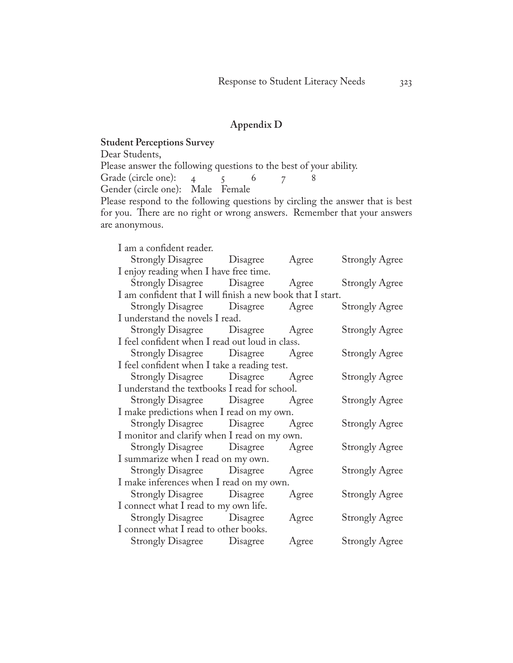#### **Appendix D**

#### **Student Perceptions Survey**

Dear Students, Please answer the following questions to the best of your ability.<br>Grade (circle one):  $\begin{array}{ccc} 4 & 5 & 6 & 7 & 8 \end{array}$ Grade (circle one):  $4\overline{5}$  6  $\overline{7}$ Gender (circle one): Male Female Please respond to the following questions by circling the answer that is best for you. There are no right or wrong answers. Remember that your answers are anonymous.

| I am a confident reader.                                   |       |                       |
|------------------------------------------------------------|-------|-----------------------|
| <b>Strongly Disagree</b> Disagree                          | Agree | <b>Strongly Agree</b> |
| I enjoy reading when I have free time.                     |       |                       |
| Strongly Disagree Disagree Agree                           |       | <b>Strongly Agree</b> |
| I am confident that I will finish a new book that I start. |       |                       |
| Strongly Disagree Disagree                                 | Agree | <b>Strongly Agree</b> |
| I understand the novels I read.                            |       |                       |
| Strongly Disagree Disagree Agree                           |       | <b>Strongly Agree</b> |
| I feel confident when I read out loud in class.            |       |                       |
| Strongly Disagree Disagree Agree                           |       | <b>Strongly Agree</b> |
| I feel confident when I take a reading test.               |       |                       |
| Strongly Disagree Disagree Agree                           |       | <b>Strongly Agree</b> |
| I understand the textbooks I read for school.              |       |                       |
| Strongly Disagree Disagree Agree                           |       | <b>Strongly Agree</b> |
| I make predictions when I read on my own.                  |       |                       |
| Strongly Disagree Disagree Agree                           |       | <b>Strongly Agree</b> |
| I monitor and clarify when I read on my own.               |       |                       |
| Strongly Disagree Disagree Agree                           |       | <b>Strongly Agree</b> |
| I summarize when I read on my own.                         |       |                       |
| Strongly Disagree Disagree Agree                           |       | <b>Strongly Agree</b> |
| I make inferences when I read on my own.                   |       |                       |
| Strongly Disagree Disagree                                 | Agree | <b>Strongly Agree</b> |
| I connect what I read to my own life.                      |       |                       |
| <b>Strongly Disagree</b> Disagree                          | Agree | <b>Strongly Agree</b> |
| I connect what I read to other books.                      |       |                       |
| <b>Strongly Disagree</b> Disagree                          | Agree | <b>Strongly Agree</b> |